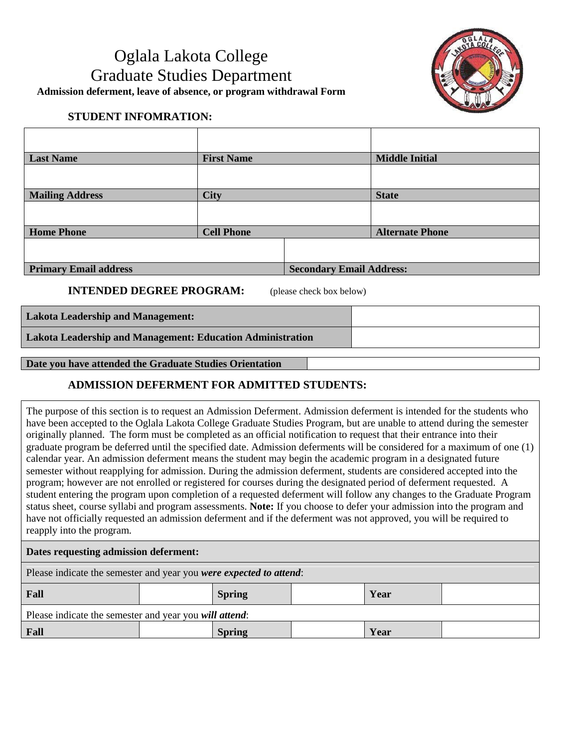# Oglala Lakota College Graduate Studies Department **Admission deferment, leave of absence, or program withdrawal Form**



# **STUDENT INFOMRATION:**

| <b>Last Name</b>             | <b>First Name</b> |                                 | <b>Middle Initial</b>  |
|------------------------------|-------------------|---------------------------------|------------------------|
|                              |                   |                                 |                        |
| <b>Mailing Address</b>       | <b>City</b>       |                                 | <b>State</b>           |
|                              |                   |                                 |                        |
| <b>Home Phone</b>            | <b>Cell Phone</b> |                                 | <b>Alternate Phone</b> |
|                              |                   |                                 |                        |
| <b>Primary Email address</b> |                   | <b>Secondary Email Address:</b> |                        |

**INTENDED DEGREE PROGRAM:** (please check box below) 

**Lakota Leadership and Management:**

**Lakota Leadership and Management: Education Administration**

### **Date you have attended the Graduate Studies Orientation**

## **ADMISSION DEFERMENT FOR ADMITTED STUDENTS:**

The purpose of this section is to request an Admission Deferment. Admission deferment is intended for the students who have been accepted to the Oglala Lakota College Graduate Studies Program, but are unable to attend during the semester originally planned. The form must be completed as an official notification to request that their entrance into their graduate program be deferred until the specified date. Admission deferments will be considered for a maximum of one (1) calendar year. An admission deferment means the student may begin the academic program in a designated future semester without reapplying for admission. During the admission deferment, students are considered accepted into the program; however are not enrolled or registered for courses during the designated period of deferment requested. A student entering the program upon completion of a requested deferment will follow any changes to the Graduate Program status sheet, course syllabi and program assessments. **Note:** If you choose to defer your admission into the program and have not officially requested an admission deferment and if the deferment was not approved, you will be required to reapply into the program.

#### **Dates requesting admission deferment:**

Please indicate the semester and year you *were expected to attend*:

| Fall                                                   | <b>Spring</b> | Year |  |  |
|--------------------------------------------------------|---------------|------|--|--|
| Please indicate the semester and year you will attend: |               |      |  |  |
| Fall                                                   | <b>Spring</b> | Year |  |  |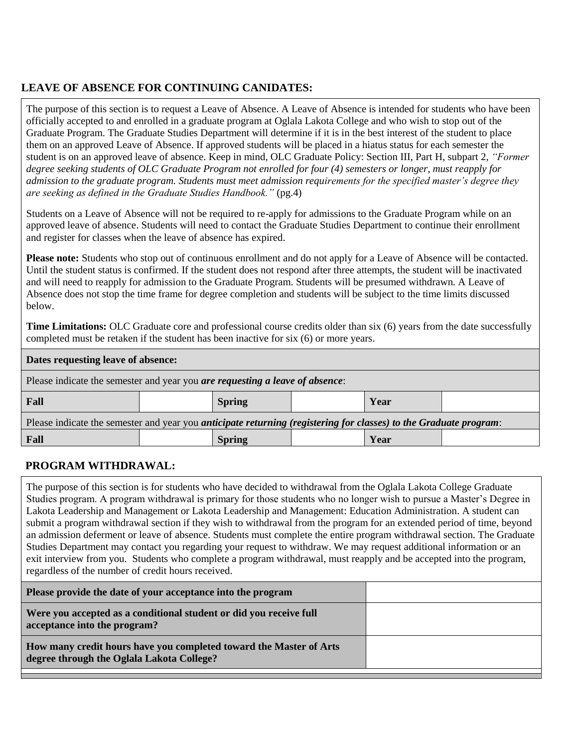# **LEAVE OF ABSENCE FOR CONTINUING CANIDATES:**

The purpose of this section is to request a Leave of Absence. A Leave of Absence is intended for students who have been officially accepted to and enrolled in a graduate program at Oglala Lakota College and who wish to stop out of the Graduate Program. The Graduate Studies Department will determine if it is in the best interest of the student to place them on an approved Leave of Absence. If approved students will be placed in a hiatus status for each semester the student is on an approved leave of absence. Keep in mind, OLC Graduate Policy: Section III, Part H, subpart 2, *"Former degree seeking students of OLC Graduate Program not enrolled for four (4) semesters or longer, must reapply for admission to the graduate program. Students must meet admission requirements for the specified master's degree they are seeking as defined in the Graduate Studies Handbook."* (pg.4)

Students on a Leave of Absence will not be required to re-apply for admissions to the Graduate Program while on an approved leave of absence. Students will need to contact the Graduate Studies Department to continue their enrollment and register for classes when the leave of absence has expired.

**Please note:** Students who stop out of continuous enrollment and do not apply for a Leave of Absence will be contacted. Until the student status is confirmed. If the student does not respond after three attempts, the student will be inactivated and will need to reapply for admission to the Graduate Program. Students will be presumed withdrawn. A Leave of Absence does not stop the time frame for degree completion and students will be subject to the time limits discussed below.

**Time Limitations:** OLC Graduate core and professional course credits older than six (6) years from the date successfully completed must be retaken if the student has been inactive for six (6) or more years.

#### **Dates requesting leave of absence:**

| Please indicate the semester and year you are requesting a leave of absence:                                             |  |               |  |      |  |
|--------------------------------------------------------------------------------------------------------------------------|--|---------------|--|------|--|
| Fall                                                                                                                     |  | <b>Spring</b> |  | Year |  |
| Please indicate the semester and year you <i>anticipate returning (registering for classes)</i> to the Graduate program: |  |               |  |      |  |
| Fall                                                                                                                     |  | <b>Spring</b> |  | Year |  |

### **PROGRAM WITHDRAWAL:**

The purpose of this section is for students who have decided to withdrawal from the Oglala Lakota College Graduate Studies program. A program withdrawal is primary for those students who no longer wish to pursue a Master's Degree in Lakota Leadership and Management or Lakota Leadership and Management: Education Administration. A student can submit a program withdrawal section if they wish to withdrawal from the program for an extended period of time, beyond an admission deferment or leave of absence. Students must complete the entire program withdrawal section. The Graduate Studies Department may contact you regarding your request to withdraw. We may request additional information or an exit interview from you. Students who complete a program withdrawal, must reapply and be accepted into the program, regardless of the number of credit hours received.

| Were you accepted as a conditional student or did you receive full<br>acceptance into the program?<br>How many credit hours have you completed toward the Master of Arts<br>degree through the Oglala Lakota College? | Please provide the date of your acceptance into the program |  |
|-----------------------------------------------------------------------------------------------------------------------------------------------------------------------------------------------------------------------|-------------------------------------------------------------|--|
|                                                                                                                                                                                                                       |                                                             |  |
|                                                                                                                                                                                                                       |                                                             |  |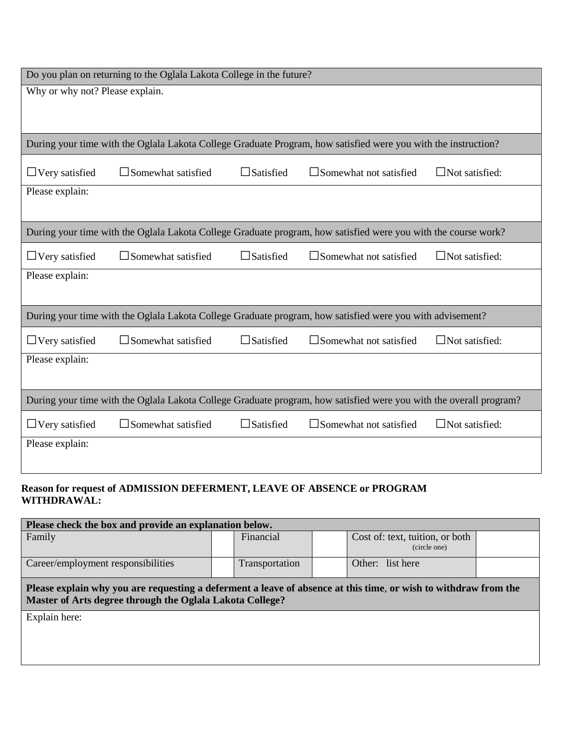| Do you plan on returning to the Oglala Lakota College in the future? |                              |                  |                                                                                                                    |                       |
|----------------------------------------------------------------------|------------------------------|------------------|--------------------------------------------------------------------------------------------------------------------|-----------------------|
| Why or why not? Please explain.                                      |                              |                  |                                                                                                                    |                       |
|                                                                      |                              |                  |                                                                                                                    |                       |
|                                                                      |                              |                  |                                                                                                                    |                       |
|                                                                      |                              |                  | During your time with the Oglala Lakota College Graduate Program, how satisfied were you with the instruction?     |                       |
| $\Box$ Very satisfied                                                | $\square$ Somewhat satisfied | $\Box$ Satisfied | $\square$ Somewhat not satisfied                                                                                   | $\Box$ Not satisfied: |
| Please explain:                                                      |                              |                  |                                                                                                                    |                       |
|                                                                      |                              |                  |                                                                                                                    |                       |
|                                                                      |                              |                  | During your time with the Oglala Lakota College Graduate program, how satisfied were you with the course work?     |                       |
| $\Box$ Very satisfied                                                | $\square$ Somewhat satisfied | $\Box$ Satisfied | $\square$ Somewhat not satisfied                                                                                   | $\Box$ Not satisfied: |
| Please explain:                                                      |                              |                  |                                                                                                                    |                       |
|                                                                      |                              |                  |                                                                                                                    |                       |
|                                                                      |                              |                  | During your time with the Oglala Lakota College Graduate program, how satisfied were you with advisement?          |                       |
| $\Box$ Very satisfied                                                | $\square$ Somewhat satisfied | $\Box$ Satisfied | $\square$ Somewhat not satisfied                                                                                   | $\Box$ Not satisfied: |
| Please explain:                                                      |                              |                  |                                                                                                                    |                       |
|                                                                      |                              |                  |                                                                                                                    |                       |
|                                                                      |                              |                  | During your time with the Oglala Lakota College Graduate program, how satisfied were you with the overall program? |                       |
| $\Box$ Very satisfied                                                | $\square$ Somewhat satisfied | $\Box$ Satisfied | $\square$ Somewhat not satisfied                                                                                   | $\Box$ Not satisfied: |
| Please explain:                                                      |                              |                  |                                                                                                                    |                       |
|                                                                      |                              |                  |                                                                                                                    |                       |

### **Reason for request of ADMISSION DEFERMENT, LEAVE OF ABSENCE or PROGRAM WITHDRAWAL:**

| Please check the box and provide an explanation below.                                                                                                                      |                |                                                 |  |  |
|-----------------------------------------------------------------------------------------------------------------------------------------------------------------------------|----------------|-------------------------------------------------|--|--|
| Family                                                                                                                                                                      | Financial      | Cost of: text, tuition, or both<br>(circle one) |  |  |
| Career/employment responsibilities                                                                                                                                          | Transportation | Other: list here                                |  |  |
| Please explain why you are requesting a deferment a leave of absence at this time, or wish to withdraw from the<br>Master of Arts degree through the Oglala Lakota College? |                |                                                 |  |  |
| Explain here:                                                                                                                                                               |                |                                                 |  |  |
|                                                                                                                                                                             |                |                                                 |  |  |